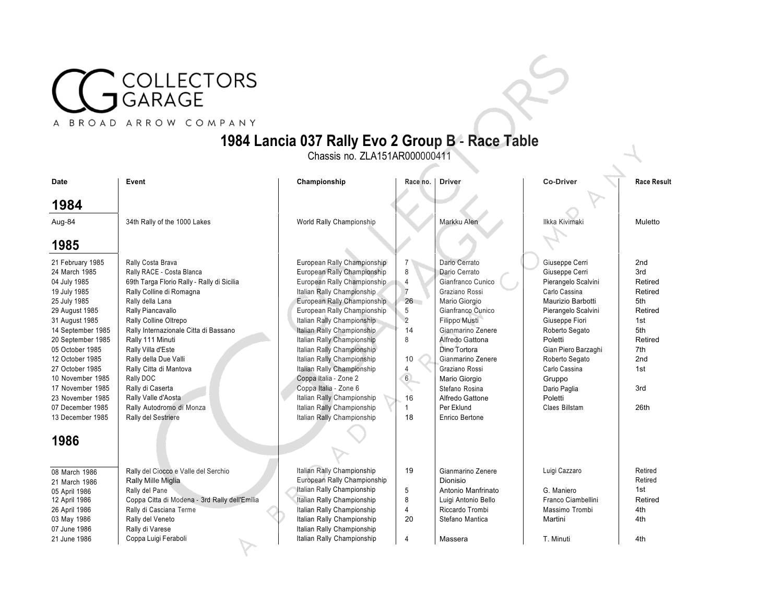## COLLECTORS<br>GARAGE

## A BROAD ARROW COMPANY

## **1984 Lancia 037 Rally Evo 2 Group B** - **Race Table**

Chassis no. ZLA151AR000000411

| <b>Date</b>       | Event                                         | Championship                | Race no.        | <b>Driver</b>       | <b>Co-Driver</b>    | <b>Race Result</b> |
|-------------------|-----------------------------------------------|-----------------------------|-----------------|---------------------|---------------------|--------------------|
| 1984              |                                               |                             |                 |                     |                     |                    |
| Aug-84            | 34th Rally of the 1000 Lakes                  | World Rally Championship    |                 | Markku Alen         | Ilkka Kivimaki      | Muletto            |
|                   |                                               |                             |                 |                     |                     |                    |
| 1985              |                                               |                             |                 |                     |                     |                    |
| 21 February 1985  | Rally Costa Brava                             | European Rally Championship | 7               | Dario Cerrato       | Giuseppe Cerri      | 2 <sub>nd</sub>    |
| 24 March 1985     | Rally RACE - Costa Blanca                     | European Rally Championship | $\,8\,$         | Dario Cerrato       | Giuseppe Cerri      | 3rd                |
| 04 July 1985      | 69th Targa Florio Rally - Rally di Sicilia    | European Rally Championship | $\overline{4}$  | Gianfranco Cunico   | Pierangelo Scalvini | Retired            |
| 19 July 1985      | Rally Colline di Romagna                      | Italian Rally Championship  | $\overline{7}$  | Graziano Rossi      | Carlo Cassina       | Retired            |
| 25 July 1985      | Rally della Lana                              | European Rally Championship | 26              | Mario Giorgio       | Maurizio Barbotti   | 5th                |
| 29 August 1985    | Rally Piancavallo                             | European Rally Championship | 5               | Gianfranco Cunico   | Pierangelo Scalvini | Retired            |
| 31 August 1985    | Rally Colline Oltrepo                         | Italian Rally Championship  | $\overline{2}$  | Filippo Musti       | Giuseppe Fiori      | 1st                |
| 14 September 1985 | Rally Internazionale Citta di Bassano         | Italian Rally Championship  | 14              | Gianmarino Zenere   | Roberto Segato      | 5th                |
| 20 September 1985 | Rally 111 Minuti                              | Italian Rally Championship  | 8               | Alfredo Gattona     | Poletti             | Retired            |
| 05 October 1985   | Rally Villa d'Este                            | Italian Rally Championship  |                 | Dino Tortora        | Gian Piero Barzaghi | 7th                |
| 12 October 1985   | Rally della Due Valli                         | Italian Rally Championship  | 10              | Gianmarino Zenere   | Roberto Segato      | 2 <sub>nd</sub>    |
| 27 October 1985   | Rally Citta di Mantova                        | Italian Rally Championship  | 4               | Graziano Rossi      | Carlo Cassina       | 1st                |
| 10 November 1985  | Rally DOC                                     | Coppa Italia - Zone 2       | $6\phantom{.0}$ | Mario Giorgio       | Gruppo              |                    |
| 17 November 1985  | Rally di Caserta                              | Coppa Italia - Zone 6       |                 | Stefano Rosina      | Dario Paglia        | 3rd                |
| 23 November 1985  | Rally Valle d'Aosta                           | Italian Rally Championship  | 16              | Alfredo Gattone     | Poletti             |                    |
| 07 December 1985  | Rally Autodromo di Monza                      | Italian Rally Championship  |                 | Per Eklund          | Claes Billstam      | 26th               |
| 13 December 1985  | Rally del Sestriere                           | Italian Rally Championship  | 18              | Enrico Bertone      |                     |                    |
| 1986              |                                               |                             |                 |                     |                     |                    |
| 08 March 1986     | Rally del Ciocco e Valle del Serchio          | Italian Rally Championship  | 19              | Gianmarino Zenere   | Luigi Cazzaro       | Retired            |
| 21 March 1986     | Rally Mille Miglia                            | European Rally Championship |                 | Dionisio            |                     | Retired            |
| 05 April 1986     | Rally del Pane                                | Italian Rally Championship  | 5               | Antonio Manfrinato  | G. Maniero          | 1st                |
| 12 April 1986     | Coppa Citta di Modena - 3rd Rally dell'Emilia | Italian Rally Championship  | 8               | Luigi Antonio Bello | Franco Ciambellini  | Retired            |
| 26 April 1986     | Rally di Casciana Terme                       | Italian Rally Championship  | 4               | Riccardo Trombi     | Massimo Trombi      | 4th                |
| 03 May 1986       | Rally del Veneto                              | Italian Rally Championship  | 20              | Stefano Mantica     | Martini             | 4th                |
| 07 June 1986      | Rally di Varese                               | Italian Rally Championship  |                 |                     |                     |                    |
| 21 June 1986      | Coppa Luigi Feraboli                          | Italian Rally Championship  | $\overline{4}$  | Massera             | T. Minuti           | 4th                |